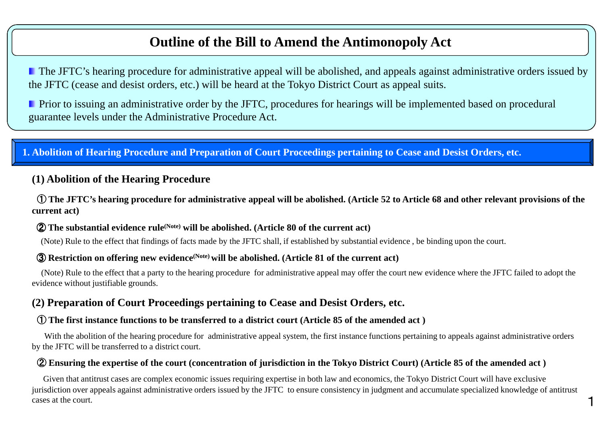### **Outline of the Bill to Amend the Antimonopoly Act**

**The JFTC's hearing procedure for administrative appeal will be abolished, and appeals against administrative orders issued by** the JFTC (cease and desist orders, etc.) will be heard at the Tokyo District Court as appeal suits.

**Prior to issuing an administrative order by the JFTC, procedures for hearings will be implemented based on procedural** guarantee levels under the Administrative Procedure Act.

#### **1. Abolition of Hearing Procedure and Preparation of Court Proceedings pertaining to Cease and Desist Orders, etc.**

#### **(1) Abolition of the Hearing Procedure**

① **The JFTC's hearing procedure for administrative appeal will be abolished. (Article 52 to Article 68 and other relevant provisions of the current act)**

### ② **The substantial evidence rule(Note) will be abolished. (Article 80 of the current act)**

(Note) Rule to the effect that findings of facts made by the JFTC shall, if established by substantial evidence , be binding upon the court.

### ③ **Restriction on offering new evidence(Note) will be abolished. (Article 81 of the current act)**

(Note) Rule to the effect that a party to the hearing procedure for administrative appeal may offer the court new evidence where the JFTC failed to adopt the evidence without justifiable grounds.

#### **(2) Preparation of Court Proceedings pertaining to Cease and Desist Orders, etc.**

### ① **The first instance functions to be transferred to a district court (Article 85 of the amended act )**

With the abolition of the hearing procedure for administrative appeal system, the first instance functions pertaining to appeals against administrative orders by the JFTC will be transferred to a district court.

### ② **Ensuring the expertise of the court (concentration of jurisdiction in the Tokyo District Court) (Article 85 of the amended act )**

Given that antitrust cases are complex economic issues requiring expertise in both law and economics, the Tokyo District Court will have exclusive jurisdiction over appeals against administrative orders issued by the JFTC to ensure consistency in judgment and accumulate specialized knowledge of antitrust cases at the court.

1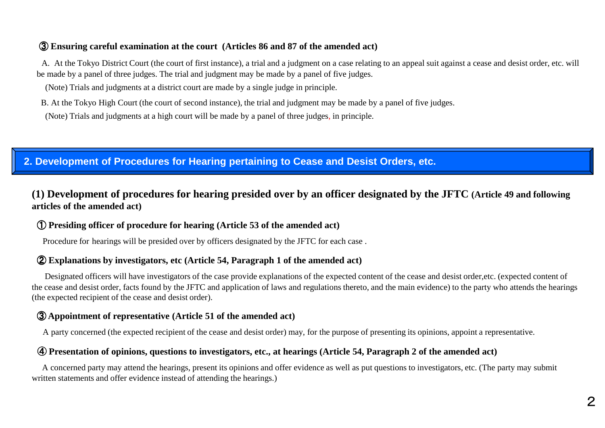### ③ **Ensuring careful examination at the court (Articles 86 and 87 of the amended act)**

A. At the Tokyo District Court (the court of first instance), a trial and a judgment on a case relating to an appeal suit against a cease and desist order, etc. will be made by a panel of three judges. The trial and judgment may be made by a panel of five judges.

(Note) Trials and judgments at a district court are made by a single judge in principle.

B. At the Tokyo High Court (the court of second instance), the trial and judgment may be made by a panel of five judges.

(Note) Trials and judgments at a high court will be made by a panel of three judges, in principle.

#### **2. Development of Procedures for Hearing pertaining to Cease and Desist Orders, etc.**

#### **(1) Development of procedures for hearing presided over by an officer designated by the JFTC (Article 49 and following articles of the amended act)**

### ① **Presiding officer of procedure for hearing (Article 53 of the amended act)**

Procedure for hearings will be presided over by officers designated by the JFTC for each case .

## ② **Explanations by investigators, etc (Article 54, Paragraph 1 of the amended act)**

Designated officers will have investigators of the case provide explanations of the expected content of the cease and desist order,etc. (expected content of the cease and desist order, facts found by the JFTC and application of laws and regulations thereto, and the main evidence) to the party who attends the hearings (the expected recipient of the cease and desist order).

## ③ **Appointment of representative (Article 51 of the amended act)**

A party concerned (the expected recipient of the cease and desist order) may, for the purpose of presenting its opinions, appoint a representative.

### ④ **Presentation of opinions, questions to investigators, etc., at hearings (Article 54, Paragraph 2 of the amended act)**

A concerned party may attend the hearings, present its opinions and offer evidence as well as put questions to investigators, etc. (The party may submit written statements and offer evidence instead of attending the hearings.)